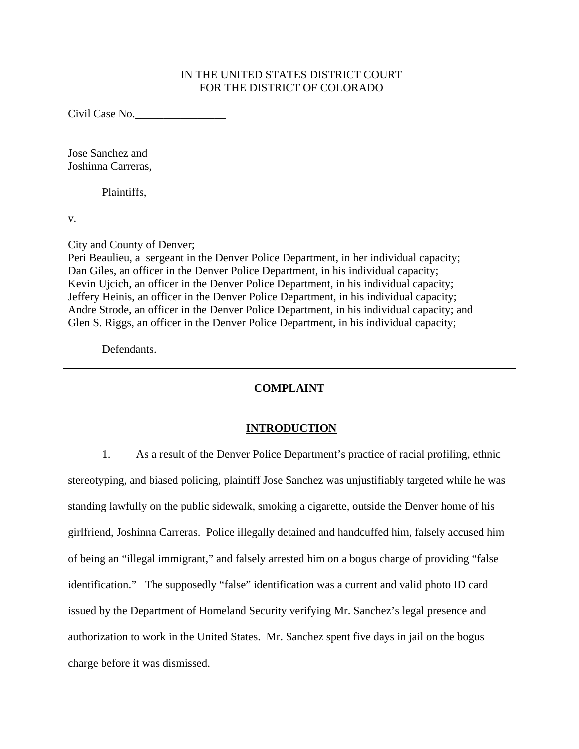# IN THE UNITED STATES DISTRICT COURT FOR THE DISTRICT OF COLORADO

Civil Case No.\_\_\_\_\_\_\_\_\_\_\_\_\_\_\_\_

Jose Sanchez and Joshinna Carreras,

Plaintiffs,

v.

City and County of Denver;

Peri Beaulieu, a sergeant in the Denver Police Department, in her individual capacity; Dan Giles, an officer in the Denver Police Department, in his individual capacity; Kevin Ujcich, an officer in the Denver Police Department, in his individual capacity; Jeffery Heinis, an officer in the Denver Police Department, in his individual capacity; Andre Strode, an officer in the Denver Police Department, in his individual capacity; and Glen S. Riggs, an officer in the Denver Police Department, in his individual capacity;

Defendants.

# **COMPLAINT**

# **INTRODUCTION**

1. As a result of the Denver Police Department's practice of racial profiling, ethnic stereotyping, and biased policing, plaintiff Jose Sanchez was unjustifiably targeted while he was standing lawfully on the public sidewalk, smoking a cigarette, outside the Denver home of his girlfriend, Joshinna Carreras. Police illegally detained and handcuffed him, falsely accused him of being an "illegal immigrant," and falsely arrested him on a bogus charge of providing "false identification." The supposedly "false" identification was a current and valid photo ID card issued by the Department of Homeland Security verifying Mr. Sanchez's legal presence and authorization to work in the United States. Mr. Sanchez spent five days in jail on the bogus charge before it was dismissed.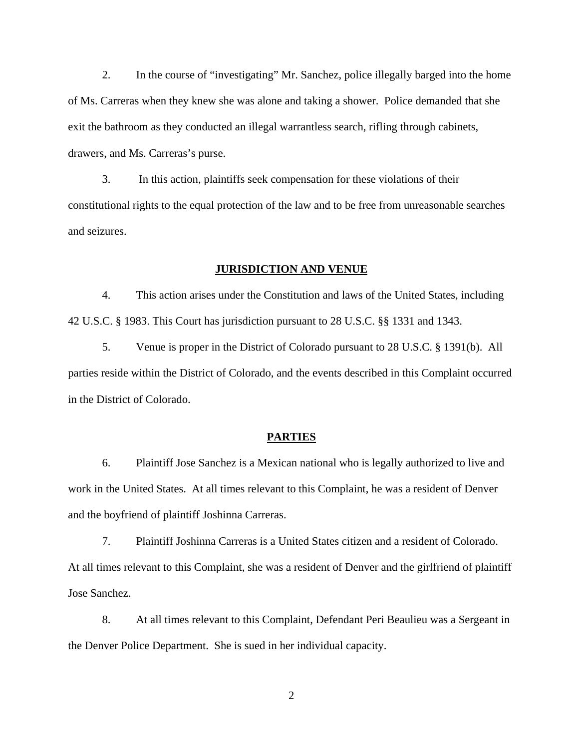2. In the course of "investigating" Mr. Sanchez, police illegally barged into the home of Ms. Carreras when they knew she was alone and taking a shower. Police demanded that she exit the bathroom as they conducted an illegal warrantless search, rifling through cabinets, drawers, and Ms. Carreras's purse.

3. In this action, plaintiffs seek compensation for these violations of their constitutional rights to the equal protection of the law and to be free from unreasonable searches and seizures.

#### **JURISDICTION AND VENUE**

4. This action arises under the Constitution and laws of the United States, including 42 U.S.C. § 1983. This Court has jurisdiction pursuant to 28 U.S.C. §§ 1331 and 1343.

5. Venue is proper in the District of Colorado pursuant to 28 U.S.C. § 1391(b). All parties reside within the District of Colorado, and the events described in this Complaint occurred in the District of Colorado.

## **PARTIES**

6. Plaintiff Jose Sanchez is a Mexican national who is legally authorized to live and work in the United States. At all times relevant to this Complaint, he was a resident of Denver and the boyfriend of plaintiff Joshinna Carreras.

7. Plaintiff Joshinna Carreras is a United States citizen and a resident of Colorado. At all times relevant to this Complaint, she was a resident of Denver and the girlfriend of plaintiff Jose Sanchez.

8. At all times relevant to this Complaint, Defendant Peri Beaulieu was a Sergeant in the Denver Police Department. She is sued in her individual capacity.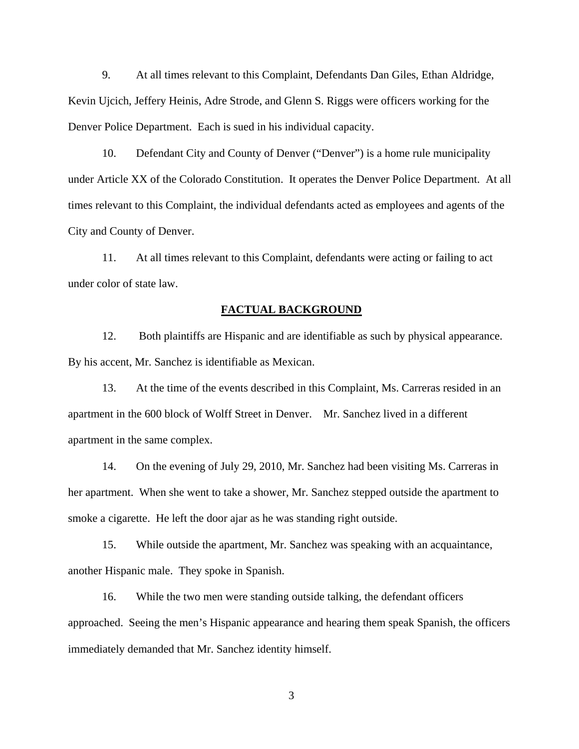9. At all times relevant to this Complaint, Defendants Dan Giles, Ethan Aldridge, Kevin Ujcich, Jeffery Heinis, Adre Strode, and Glenn S. Riggs were officers working for the Denver Police Department. Each is sued in his individual capacity.

10. Defendant City and County of Denver ("Denver") is a home rule municipality under Article XX of the Colorado Constitution. It operates the Denver Police Department. At all times relevant to this Complaint, the individual defendants acted as employees and agents of the City and County of Denver.

11. At all times relevant to this Complaint, defendants were acting or failing to act under color of state law.

#### **FACTUAL BACKGROUND**

12. Both plaintiffs are Hispanic and are identifiable as such by physical appearance. By his accent, Mr. Sanchez is identifiable as Mexican.

13. At the time of the events described in this Complaint, Ms. Carreras resided in an apartment in the 600 block of Wolff Street in Denver. Mr. Sanchez lived in a different apartment in the same complex.

14. On the evening of July 29, 2010, Mr. Sanchez had been visiting Ms. Carreras in her apartment. When she went to take a shower, Mr. Sanchez stepped outside the apartment to smoke a cigarette. He left the door ajar as he was standing right outside.

15. While outside the apartment, Mr. Sanchez was speaking with an acquaintance, another Hispanic male. They spoke in Spanish.

16. While the two men were standing outside talking, the defendant officers approached. Seeing the men's Hispanic appearance and hearing them speak Spanish, the officers immediately demanded that Mr. Sanchez identity himself.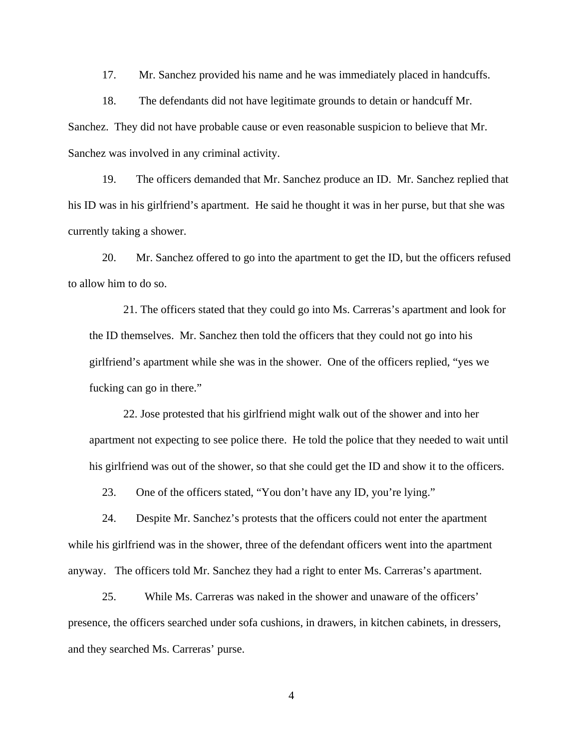17. Mr. Sanchez provided his name and he was immediately placed in handcuffs.

18. The defendants did not have legitimate grounds to detain or handcuff Mr. Sanchez. They did not have probable cause or even reasonable suspicion to believe that Mr. Sanchez was involved in any criminal activity.

19. The officers demanded that Mr. Sanchez produce an ID. Mr. Sanchez replied that his ID was in his girlfriend's apartment. He said he thought it was in her purse, but that she was currently taking a shower.

20. Mr. Sanchez offered to go into the apartment to get the ID, but the officers refused to allow him to do so.

21. The officers stated that they could go into Ms. Carreras's apartment and look for the ID themselves. Mr. Sanchez then told the officers that they could not go into his girlfriend's apartment while she was in the shower. One of the officers replied, "yes we fucking can go in there."

22. Jose protested that his girlfriend might walk out of the shower and into her apartment not expecting to see police there. He told the police that they needed to wait until his girlfriend was out of the shower, so that she could get the ID and show it to the officers.

23. One of the officers stated, "You don't have any ID, you're lying."

24. Despite Mr. Sanchez's protests that the officers could not enter the apartment while his girlfriend was in the shower, three of the defendant officers went into the apartment anyway. The officers told Mr. Sanchez they had a right to enter Ms. Carreras's apartment.

25. While Ms. Carreras was naked in the shower and unaware of the officers' presence, the officers searched under sofa cushions, in drawers, in kitchen cabinets, in dressers, and they searched Ms. Carreras' purse.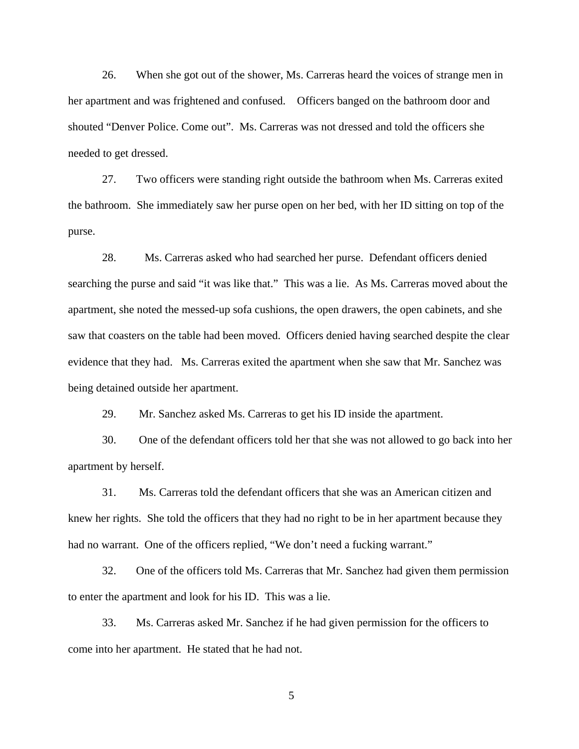26. When she got out of the shower, Ms. Carreras heard the voices of strange men in her apartment and was frightened and confused. Officers banged on the bathroom door and shouted "Denver Police. Come out". Ms. Carreras was not dressed and told the officers she needed to get dressed.

27. Two officers were standing right outside the bathroom when Ms. Carreras exited the bathroom. She immediately saw her purse open on her bed, with her ID sitting on top of the purse.

28. Ms. Carreras asked who had searched her purse. Defendant officers denied searching the purse and said "it was like that." This was a lie. As Ms. Carreras moved about the apartment, she noted the messed-up sofa cushions, the open drawers, the open cabinets, and she saw that coasters on the table had been moved. Officers denied having searched despite the clear evidence that they had. Ms. Carreras exited the apartment when she saw that Mr. Sanchez was being detained outside her apartment.

29. Mr. Sanchez asked Ms. Carreras to get his ID inside the apartment.

30. One of the defendant officers told her that she was not allowed to go back into her apartment by herself.

31. Ms. Carreras told the defendant officers that she was an American citizen and knew her rights. She told the officers that they had no right to be in her apartment because they had no warrant. One of the officers replied, "We don't need a fucking warrant."

32. One of the officers told Ms. Carreras that Mr. Sanchez had given them permission to enter the apartment and look for his ID. This was a lie.

33. Ms. Carreras asked Mr. Sanchez if he had given permission for the officers to come into her apartment. He stated that he had not.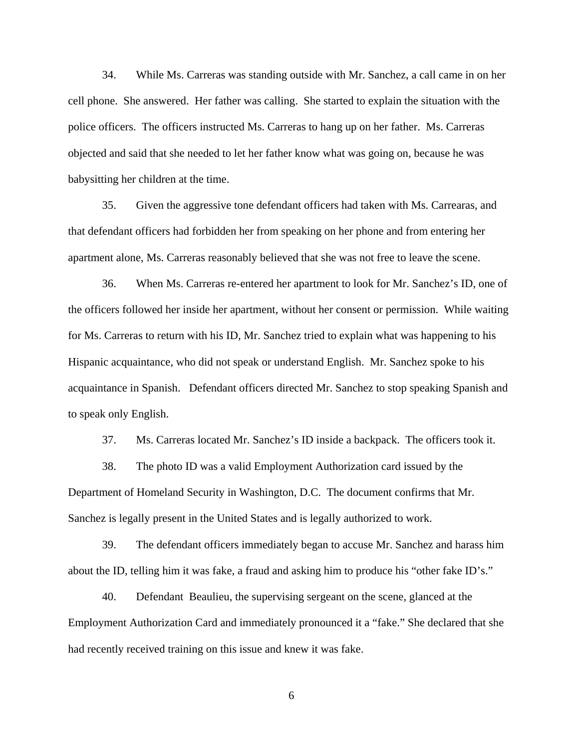34. While Ms. Carreras was standing outside with Mr. Sanchez, a call came in on her cell phone. She answered. Her father was calling. She started to explain the situation with the police officers. The officers instructed Ms. Carreras to hang up on her father. Ms. Carreras objected and said that she needed to let her father know what was going on, because he was babysitting her children at the time.

35. Given the aggressive tone defendant officers had taken with Ms. Carrearas, and that defendant officers had forbidden her from speaking on her phone and from entering her apartment alone, Ms. Carreras reasonably believed that she was not free to leave the scene.

36. When Ms. Carreras re-entered her apartment to look for Mr. Sanchez's ID, one of the officers followed her inside her apartment, without her consent or permission. While waiting for Ms. Carreras to return with his ID, Mr. Sanchez tried to explain what was happening to his Hispanic acquaintance, who did not speak or understand English. Mr. Sanchez spoke to his acquaintance in Spanish. Defendant officers directed Mr. Sanchez to stop speaking Spanish and to speak only English.

37. Ms. Carreras located Mr. Sanchez's ID inside a backpack. The officers took it.

38. The photo ID was a valid Employment Authorization card issued by the Department of Homeland Security in Washington, D.C. The document confirms that Mr. Sanchez is legally present in the United States and is legally authorized to work.

39. The defendant officers immediately began to accuse Mr. Sanchez and harass him about the ID, telling him it was fake, a fraud and asking him to produce his "other fake ID's."

40. Defendant Beaulieu, the supervising sergeant on the scene, glanced at the Employment Authorization Card and immediately pronounced it a "fake." She declared that she had recently received training on this issue and knew it was fake.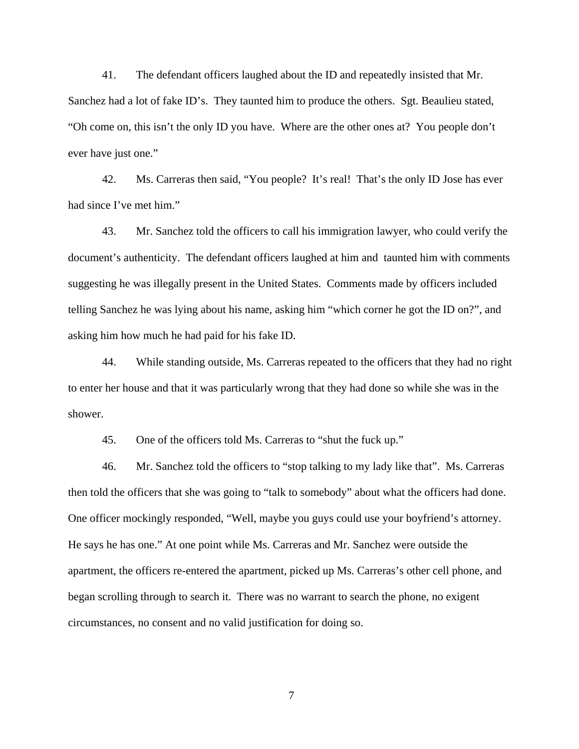41. The defendant officers laughed about the ID and repeatedly insisted that Mr. Sanchez had a lot of fake ID's. They taunted him to produce the others. Sgt. Beaulieu stated, "Oh come on, this isn't the only ID you have. Where are the other ones at? You people don't ever have just one."

42. Ms. Carreras then said, "You people? It's real! That's the only ID Jose has ever had since I've met him."

43. Mr. Sanchez told the officers to call his immigration lawyer, who could verify the document's authenticity. The defendant officers laughed at him and taunted him with comments suggesting he was illegally present in the United States. Comments made by officers included telling Sanchez he was lying about his name, asking him "which corner he got the ID on?", and asking him how much he had paid for his fake ID.

44. While standing outside, Ms. Carreras repeated to the officers that they had no right to enter her house and that it was particularly wrong that they had done so while she was in the shower.

45. One of the officers told Ms. Carreras to "shut the fuck up."

46. Mr. Sanchez told the officers to "stop talking to my lady like that". Ms. Carreras then told the officers that she was going to "talk to somebody" about what the officers had done. One officer mockingly responded, "Well, maybe you guys could use your boyfriend's attorney. He says he has one." At one point while Ms. Carreras and Mr. Sanchez were outside the apartment, the officers re-entered the apartment, picked up Ms. Carreras's other cell phone, and began scrolling through to search it. There was no warrant to search the phone, no exigent circumstances, no consent and no valid justification for doing so.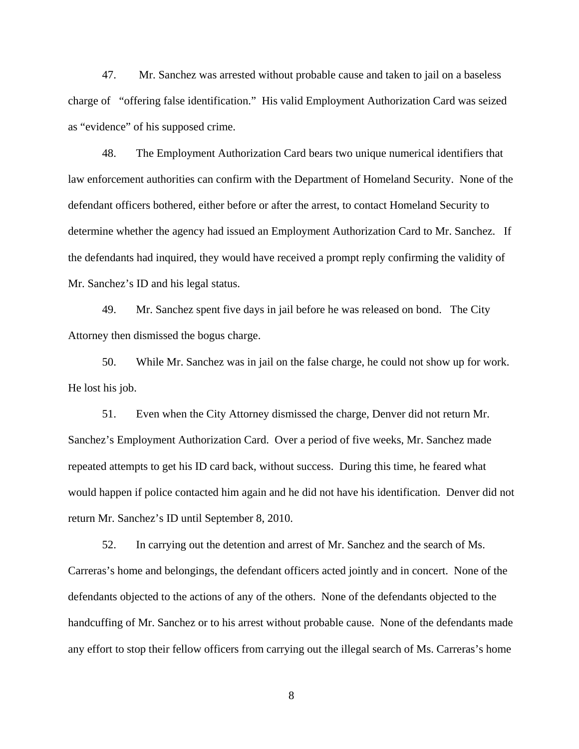47. Mr. Sanchez was arrested without probable cause and taken to jail on a baseless charge of "offering false identification." His valid Employment Authorization Card was seized as "evidence" of his supposed crime.

48. The Employment Authorization Card bears two unique numerical identifiers that law enforcement authorities can confirm with the Department of Homeland Security. None of the defendant officers bothered, either before or after the arrest, to contact Homeland Security to determine whether the agency had issued an Employment Authorization Card to Mr. Sanchez. If the defendants had inquired, they would have received a prompt reply confirming the validity of Mr. Sanchez's ID and his legal status.

49. Mr. Sanchez spent five days in jail before he was released on bond. The City Attorney then dismissed the bogus charge.

50. While Mr. Sanchez was in jail on the false charge, he could not show up for work. He lost his job.

51. Even when the City Attorney dismissed the charge, Denver did not return Mr. Sanchez's Employment Authorization Card. Over a period of five weeks, Mr. Sanchez made repeated attempts to get his ID card back, without success. During this time, he feared what would happen if police contacted him again and he did not have his identification. Denver did not return Mr. Sanchez's ID until September 8, 2010.

52. In carrying out the detention and arrest of Mr. Sanchez and the search of Ms. Carreras's home and belongings, the defendant officers acted jointly and in concert. None of the defendants objected to the actions of any of the others. None of the defendants objected to the handcuffing of Mr. Sanchez or to his arrest without probable cause. None of the defendants made any effort to stop their fellow officers from carrying out the illegal search of Ms. Carreras's home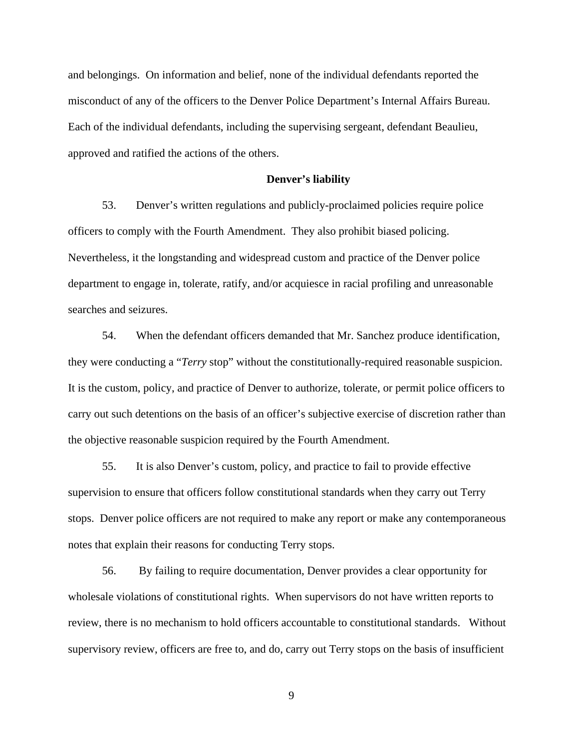and belongings. On information and belief, none of the individual defendants reported the misconduct of any of the officers to the Denver Police Department's Internal Affairs Bureau. Each of the individual defendants, including the supervising sergeant, defendant Beaulieu, approved and ratified the actions of the others.

#### **Denver's liability**

53. Denver's written regulations and publicly-proclaimed policies require police officers to comply with the Fourth Amendment. They also prohibit biased policing. Nevertheless, it the longstanding and widespread custom and practice of the Denver police department to engage in, tolerate, ratify, and/or acquiesce in racial profiling and unreasonable searches and seizures.

54. When the defendant officers demanded that Mr. Sanchez produce identification, they were conducting a "*Terry* stop" without the constitutionally-required reasonable suspicion. It is the custom, policy, and practice of Denver to authorize, tolerate, or permit police officers to carry out such detentions on the basis of an officer's subjective exercise of discretion rather than the objective reasonable suspicion required by the Fourth Amendment.

55. It is also Denver's custom, policy, and practice to fail to provide effective supervision to ensure that officers follow constitutional standards when they carry out Terry stops. Denver police officers are not required to make any report or make any contemporaneous notes that explain their reasons for conducting Terry stops.

56. By failing to require documentation, Denver provides a clear opportunity for wholesale violations of constitutional rights. When supervisors do not have written reports to review, there is no mechanism to hold officers accountable to constitutional standards. Without supervisory review, officers are free to, and do, carry out Terry stops on the basis of insufficient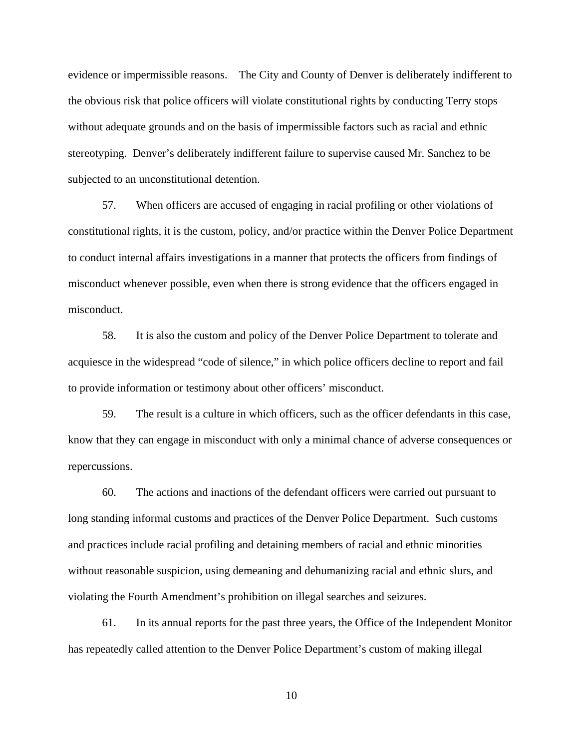evidence or impermissible reasons. The City and County of Denver is deliberately indifferent to the obvious risk that police officers will violate constitutional rights by conducting Terry stops without adequate grounds and on the basis of impermissible factors such as racial and ethnic stereotyping. Denver's deliberately indifferent failure to supervise caused Mr. Sanchez to be subjected to an unconstitutional detention.

57. When officers are accused of engaging in racial profiling or other violations of constitutional rights, it is the custom, policy, and/or practice within the Denver Police Department to conduct internal affairs investigations in a manner that protects the officers from findings of misconduct whenever possible, even when there is strong evidence that the officers engaged in misconduct.

58. It is also the custom and policy of the Denver Police Department to tolerate and acquiesce in the widespread "code of silence," in which police officers decline to report and fail to provide information or testimony about other officers' misconduct.

59. The result is a culture in which officers, such as the officer defendants in this case, know that they can engage in misconduct with only a minimal chance of adverse consequences or repercussions.

60. The actions and inactions of the defendant officers were carried out pursuant to long standing informal customs and practices of the Denver Police Department. Such customs and practices include racial profiling and detaining members of racial and ethnic minorities without reasonable suspicion, using demeaning and dehumanizing racial and ethnic slurs, and violating the Fourth Amendment's prohibition on illegal searches and seizures.

61. In its annual reports for the past three years, the Office of the Independent Monitor has repeatedly called attention to the Denver Police Department's custom of making illegal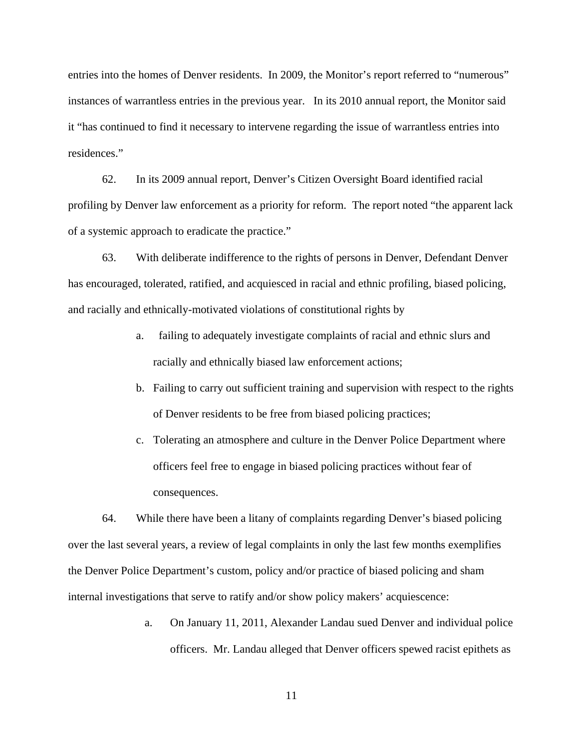entries into the homes of Denver residents. In 2009, the Monitor's report referred to "numerous" instances of warrantless entries in the previous year. In its 2010 annual report, the Monitor said it "has continued to find it necessary to intervene regarding the issue of warrantless entries into residences."

62. In its 2009 annual report, Denver's Citizen Oversight Board identified racial profiling by Denver law enforcement as a priority for reform. The report noted "the apparent lack of a systemic approach to eradicate the practice."

63. With deliberate indifference to the rights of persons in Denver, Defendant Denver has encouraged, tolerated, ratified, and acquiesced in racial and ethnic profiling, biased policing, and racially and ethnically-motivated violations of constitutional rights by

- a. failing to adequately investigate complaints of racial and ethnic slurs and racially and ethnically biased law enforcement actions;
- b. Failing to carry out sufficient training and supervision with respect to the rights of Denver residents to be free from biased policing practices;
- c. Tolerating an atmosphere and culture in the Denver Police Department where officers feel free to engage in biased policing practices without fear of consequences.

64. While there have been a litany of complaints regarding Denver's biased policing over the last several years, a review of legal complaints in only the last few months exemplifies the Denver Police Department's custom, policy and/or practice of biased policing and sham internal investigations that serve to ratify and/or show policy makers' acquiescence:

> a. On January 11, 2011, Alexander Landau sued Denver and individual police officers. Mr. Landau alleged that Denver officers spewed racist epithets as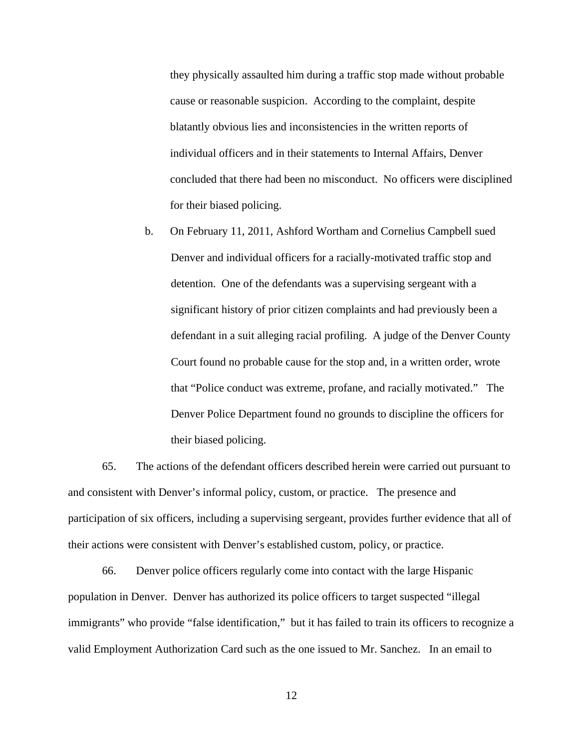they physically assaulted him during a traffic stop made without probable cause or reasonable suspicion. According to the complaint, despite blatantly obvious lies and inconsistencies in the written reports of individual officers and in their statements to Internal Affairs, Denver concluded that there had been no misconduct. No officers were disciplined for their biased policing.

b. On February 11, 2011, Ashford Wortham and Cornelius Campbell sued Denver and individual officers for a racially-motivated traffic stop and detention. One of the defendants was a supervising sergeant with a significant history of prior citizen complaints and had previously been a defendant in a suit alleging racial profiling. A judge of the Denver County Court found no probable cause for the stop and, in a written order, wrote that "Police conduct was extreme, profane, and racially motivated." The Denver Police Department found no grounds to discipline the officers for their biased policing.

65. The actions of the defendant officers described herein were carried out pursuant to and consistent with Denver's informal policy, custom, or practice. The presence and participation of six officers, including a supervising sergeant, provides further evidence that all of their actions were consistent with Denver's established custom, policy, or practice.

66. Denver police officers regularly come into contact with the large Hispanic population in Denver. Denver has authorized its police officers to target suspected "illegal immigrants" who provide "false identification," but it has failed to train its officers to recognize a valid Employment Authorization Card such as the one issued to Mr. Sanchez. In an email to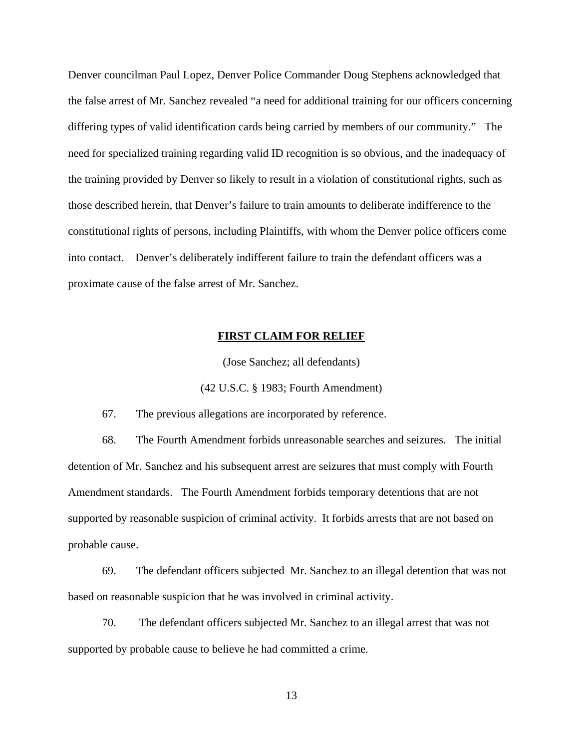Denver councilman Paul Lopez, Denver Police Commander Doug Stephens acknowledged that the false arrest of Mr. Sanchez revealed "a need for additional training for our officers concerning differing types of valid identification cards being carried by members of our community." The need for specialized training regarding valid ID recognition is so obvious, and the inadequacy of the training provided by Denver so likely to result in a violation of constitutional rights, such as those described herein, that Denver's failure to train amounts to deliberate indifference to the constitutional rights of persons, including Plaintiffs, with whom the Denver police officers come into contact. Denver's deliberately indifferent failure to train the defendant officers was a proximate cause of the false arrest of Mr. Sanchez.

## **FIRST CLAIM FOR RELIEF**

(Jose Sanchez; all defendants)

(42 U.S.C. § 1983; Fourth Amendment)

67. The previous allegations are incorporated by reference.

68. The Fourth Amendment forbids unreasonable searches and seizures. The initial detention of Mr. Sanchez and his subsequent arrest are seizures that must comply with Fourth Amendment standards. The Fourth Amendment forbids temporary detentions that are not supported by reasonable suspicion of criminal activity. It forbids arrests that are not based on probable cause.

69. The defendant officers subjected Mr. Sanchez to an illegal detention that was not based on reasonable suspicion that he was involved in criminal activity.

70. The defendant officers subjected Mr. Sanchez to an illegal arrest that was not supported by probable cause to believe he had committed a crime.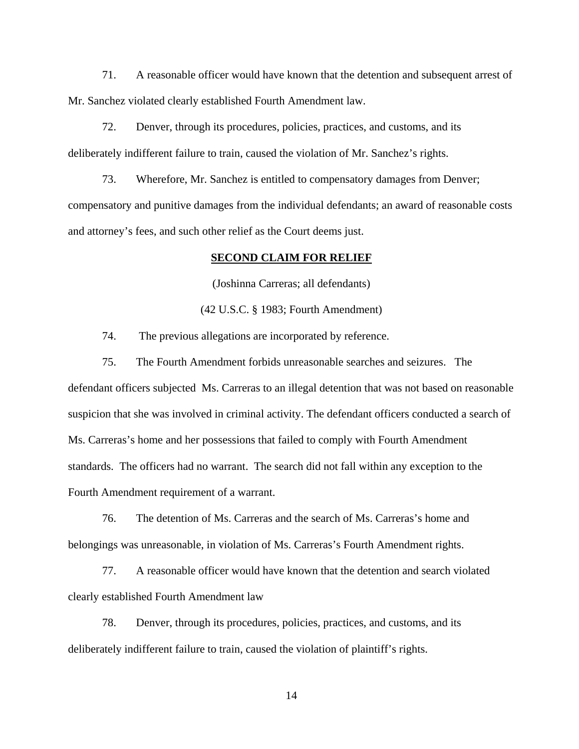71. A reasonable officer would have known that the detention and subsequent arrest of Mr. Sanchez violated clearly established Fourth Amendment law.

72. Denver, through its procedures, policies, practices, and customs, and its deliberately indifferent failure to train, caused the violation of Mr. Sanchez's rights.

73. Wherefore, Mr. Sanchez is entitled to compensatory damages from Denver; compensatory and punitive damages from the individual defendants; an award of reasonable costs and attorney's fees, and such other relief as the Court deems just.

# **SECOND CLAIM FOR RELIEF**

(Joshinna Carreras; all defendants)

(42 U.S.C. § 1983; Fourth Amendment)

74. The previous allegations are incorporated by reference.

75. The Fourth Amendment forbids unreasonable searches and seizures. The defendant officers subjected Ms. Carreras to an illegal detention that was not based on reasonable suspicion that she was involved in criminal activity. The defendant officers conducted a search of Ms. Carreras's home and her possessions that failed to comply with Fourth Amendment standards. The officers had no warrant. The search did not fall within any exception to the Fourth Amendment requirement of a warrant.

76. The detention of Ms. Carreras and the search of Ms. Carreras's home and belongings was unreasonable, in violation of Ms. Carreras's Fourth Amendment rights.

77. A reasonable officer would have known that the detention and search violated clearly established Fourth Amendment law

78. Denver, through its procedures, policies, practices, and customs, and its deliberately indifferent failure to train, caused the violation of plaintiff's rights.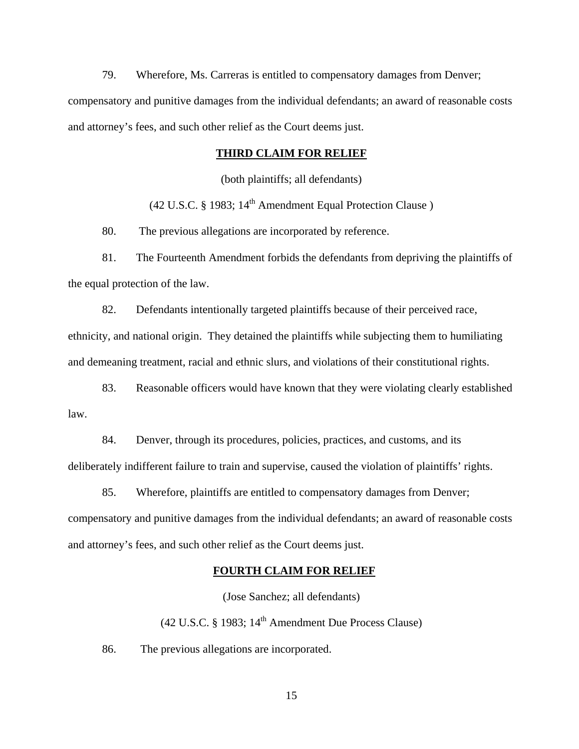79. Wherefore, Ms. Carreras is entitled to compensatory damages from Denver; compensatory and punitive damages from the individual defendants; an award of reasonable costs and attorney's fees, and such other relief as the Court deems just.

## **THIRD CLAIM FOR RELIEF**

(both plaintiffs; all defendants)

(42 U.S.C. § 1983;  $14<sup>th</sup>$  Amendment Equal Protection Clause)

80. The previous allegations are incorporated by reference.

81. The Fourteenth Amendment forbids the defendants from depriving the plaintiffs of the equal protection of the law.

82. Defendants intentionally targeted plaintiffs because of their perceived race, ethnicity, and national origin. They detained the plaintiffs while subjecting them to humiliating and demeaning treatment, racial and ethnic slurs, and violations of their constitutional rights.

83. Reasonable officers would have known that they were violating clearly established law.

84. Denver, through its procedures, policies, practices, and customs, and its deliberately indifferent failure to train and supervise, caused the violation of plaintiffs' rights.

85. Wherefore, plaintiffs are entitled to compensatory damages from Denver; compensatory and punitive damages from the individual defendants; an award of reasonable costs and attorney's fees, and such other relief as the Court deems just.

#### **FOURTH CLAIM FOR RELIEF**

(Jose Sanchez; all defendants)

 $(42 \text{ U.S.C.} \& 1983; 14^{\text{th}}$  Amendment Due Process Clause)

86. The previous allegations are incorporated.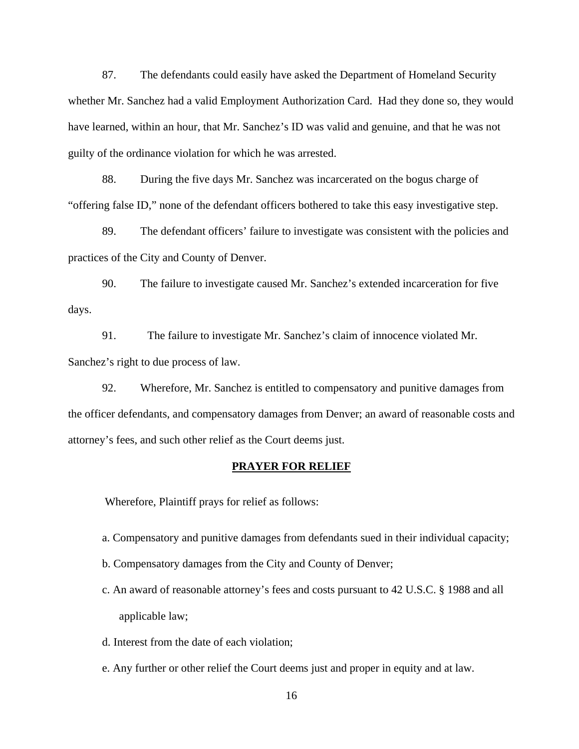87. The defendants could easily have asked the Department of Homeland Security whether Mr. Sanchez had a valid Employment Authorization Card. Had they done so, they would have learned, within an hour, that Mr. Sanchez's ID was valid and genuine, and that he was not guilty of the ordinance violation for which he was arrested.

88. During the five days Mr. Sanchez was incarcerated on the bogus charge of "offering false ID," none of the defendant officers bothered to take this easy investigative step.

89. The defendant officers' failure to investigate was consistent with the policies and practices of the City and County of Denver.

90. The failure to investigate caused Mr. Sanchez's extended incarceration for five days.

91. The failure to investigate Mr. Sanchez's claim of innocence violated Mr. Sanchez's right to due process of law.

92. Wherefore, Mr. Sanchez is entitled to compensatory and punitive damages from the officer defendants, and compensatory damages from Denver; an award of reasonable costs and attorney's fees, and such other relief as the Court deems just.

#### **PRAYER FOR RELIEF**

Wherefore, Plaintiff prays for relief as follows:

- a. Compensatory and punitive damages from defendants sued in their individual capacity;
- b. Compensatory damages from the City and County of Denver;
- c. An award of reasonable attorney's fees and costs pursuant to 42 U.S.C. § 1988 and all applicable law;
- d. Interest from the date of each violation;
- e. Any further or other relief the Court deems just and proper in equity and at law.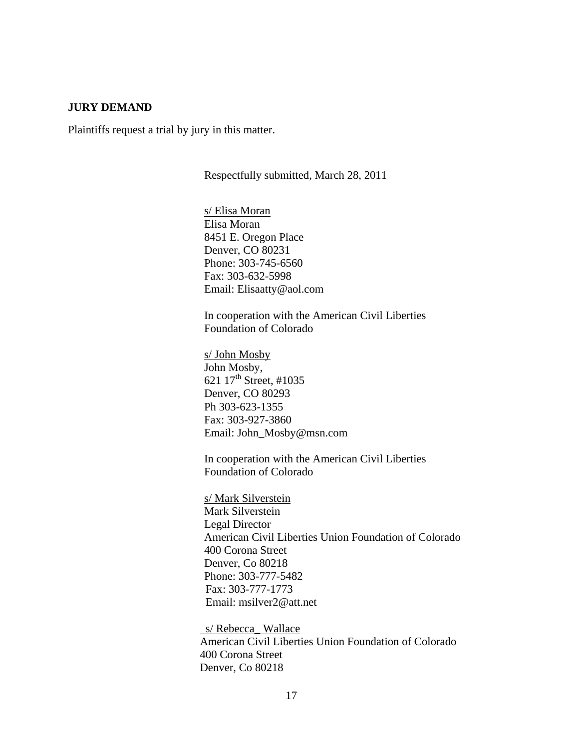## **JURY DEMAND**

Plaintiffs request a trial by jury in this matter.

Respectfully submitted, March 28, 2011

 s/ Elisa Moran Elisa Moran 8451 E. Oregon Place Denver, CO 80231 Phone: 303-745-6560 Fax: 303-632-5998 Email: Elisaatty@aol.com

In cooperation with the American Civil Liberties Foundation of Colorado

 s/ John Mosby John Mosby, 621 17<sup>th</sup> Street, #1035 Denver, CO 80293 Ph 303-623-1355 Fax: 303-927-3860 Email: John\_Mosby@msn.com

 In cooperation with the American Civil Liberties Foundation of Colorado

s/ Mark Silverstein Mark Silverstein Legal Director American Civil Liberties Union Foundation of Colorado 400 Corona Street Denver, Co 80218 Phone: 303-777-5482 Fax: 303-777-1773 Email: msilver2@att.net

s/ Rebecca\_ Wallace American Civil Liberties Union Foundation of Colorado 400 Corona Street Denver, Co 80218